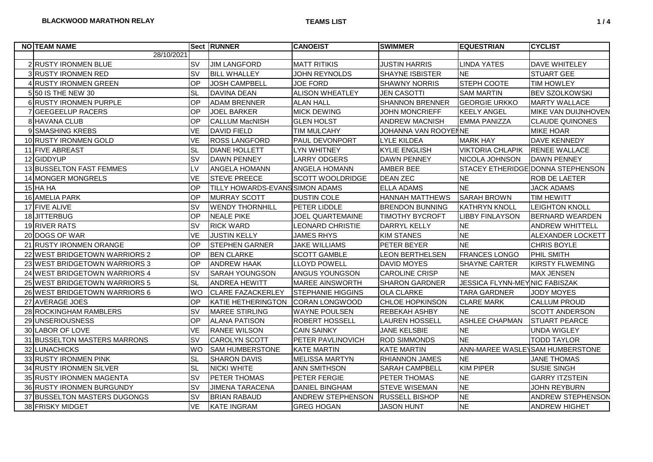| <b>NO TEAM NAME</b>           |           | <b>Sect RUNNER</b>              | <b>CANOEIST</b>          | <b>SWIMMER</b>         | <b>IEQUESTRIAN</b>            | <b>CYCLIST</b>                    |
|-------------------------------|-----------|---------------------------------|--------------------------|------------------------|-------------------------------|-----------------------------------|
| 28/10/2021                    |           |                                 |                          |                        |                               |                                   |
| 2 RUSTY IRONMEN BLUE          | <b>SV</b> | <b>JIM LANGFORD</b>             | <b>MATT RITIKIS</b>      | <b>JUSTIN HARRIS</b>   | <b>LINDA YATES</b>            | DAVE WHITELEY                     |
| 3 RUSTY IRONMEN RED           | <b>SV</b> | <b>BILL WHALLEY</b>             | <b>JOHN REYNOLDS</b>     | <b>SHAYNE ISBISTER</b> | <b>NE</b>                     | STUART GEE                        |
| 4 RUSTY IRONMEN GREEN         | OP        | <b>JOSH CAMPBELL</b>            | <b>JOE FORD</b>          | <b>SHAWNY NORRIS</b>   | STEPH COOTE                   | <b>TIM HOWLEY</b>                 |
| 5 50 IS THE NEW 30            | <b>SL</b> | <b>DAVINA DEAN</b>              | <b>ALISON WHEATLEY</b>   | <b>JEN CASOTTI</b>     | <b>SAM MARTIN</b>             | <b>BEV SZOLKOWSKI</b>             |
| <b>6 RUSTY IRONMEN PURPLE</b> | OP        | <b>ADAM BRENNER</b>             | ALAN HALL                | <b>SHANNON BRENNER</b> | IGEORGIE URKKO                | <b>MARTY WALLACE</b>              |
| 7 GEEGEELUP RACERS            | OP        | <b>JOEL BARKER</b>              | <b>MICK DEWING</b>       | <b>JOHN MONCRIEFF</b>  | <b>KEELY ANGEL</b>            | MIKE VAN DUIJNHOVEN               |
| 8 HAVANA CLUB                 | OP        | <b>CALLUM MacNISH</b>           | <b>GLEN HOLST</b>        | ANDREW MACNISH         | <b>EMMA PANIZZA</b>           | <b>CLAUDE QUINONES</b>            |
| 9 SMASHING KREBS              | <b>VE</b> | <b>DAVID FIELD</b>              | <b>TIM MULCAHY</b>       | JOHANNA VAN ROOYENNE   |                               | <b>MIKE HOAR</b>                  |
| 10 RUSTY IRONMEN GOLD         | <b>VE</b> | <b>ROSS LANGFORD</b>            | PAUL DEVONPORT           | <b>LYLE KILDEA</b>     | <b>MARK HAY</b>               | <b>DAVE KENNEDY</b>               |
| 11 FIVE ABREAST               | <b>SL</b> | <b>DIANE HOLLETT</b>            | LYN WHITNEY              | <b>KYLIE ENGLISH</b>   | <b>VIKTORIA CHLAPIK</b>       | <b>RENEE WALLACE</b>              |
| 12 GIDDYUP                    | <b>SV</b> | <b>DAWN PENNEY</b>              | <b>LARRY ODGERS</b>      | <b>DAWN PENNEY</b>     | NICOLA JOHNSON                | <b>DAWN PENNEY</b>                |
| 13 BUSSELTON FAST FEMMES      | LV        | <b>ANGELA HOMANN</b>            | ANGELA HOMANN            | <b>AMBER BEE</b>       |                               | STACEY ETHERIDGE DONNA STEPHENSON |
| 14 MONGER MONGRELS            | <b>VE</b> | <b>STEVE PREECE</b>             | SCOTT WOOLDRIDGE         | <b>DEAN ZEC</b>        | <b>NE</b>                     | ROB DE LAETER                     |
| $15$ HA HA                    | OP        | TILLY HOWARDS-EVANS SIMON ADAMS |                          | <b>ELLA ADAMS</b>      | <b>NE</b>                     | <b>JACK ADAMS</b>                 |
| 16 AMELIA PARK                | OP        | <b>MURRAY SCOTT</b>             | <b>DUSTIN COLE</b>       | <b>HANNAH MATTHEWS</b> | <b>SARAH BROWN</b>            | <b>TIM HEWITT</b>                 |
| 17 FIVE ALIVE                 | <b>SV</b> | IWENDY THORNHILL                | PETER LIDDLE             | <b>BRENDON BUNNING</b> | IKATHRYN KNOLL                | <b>LEIGHTON KNOLL</b>             |
| 18 JITTERBUG                  | OP        | <b>NEALE PIKE</b>               | JOEL QUARTEMAINE         | <b>TIMOTHY BYCROFT</b> | <b>LIBBY FINLAYSON</b>        | BERNARD WEARDEN                   |
| 19 RIVER RATS                 | SV        | <b>RICK WARD</b>                | <b>LEONARD CHRISTIE</b>  | <b>DARRYL KELLY</b>    | <b>NE</b>                     | <b>ANDREW WHITTELL</b>            |
| 20 DOGS OF WAR                | <b>VE</b> | <b>JUSTIN KELLY</b>             | <b>JAMES RHYS</b>        | <b>KIM STANES</b>      | <b>NE</b>                     | ALEXANDER LOCKETT                 |
| 21 RUSTY IRONMEN ORANGE       | OP        | <b>STEPHEN GARNER</b>           | <b>JAKE WILLIAMS</b>     | <b>PETER BEYER</b>     | <b>NE</b>                     | <b>CHRIS BOYLE</b>                |
| 22 WEST BRIDGETOWN WARRIORS 2 | OP        | <b>BEN CLARKE</b>               | <b>SCOTT GAMBLE</b>      | <b>LEON BERTHELSEN</b> | <b>FRANCES LONGO</b>          | PHIL SMITH                        |
| 23 WEST BRIDGETOWN WARRIORS 3 | OP        | <b>ANDREW HAAK</b>              | <b>LLOYD POWELL</b>      | <b>DAVID MOYES</b>     | SHAYNE CARTER                 | <b>KIRSTY FLWEMING</b>            |
| 24 WEST BRIDGETOWN WARRIORS 4 | <b>SV</b> | <b>SARAH YOUNGSON</b>           | ANGUS YOUNGSON           | <b>CAROLINE CRISP</b>  | <b>NE</b>                     | MAX JENSEN                        |
| 25 WEST BRIDGETOWN WARRIORS 5 | <b>SL</b> | <b>ANDREA HEWITT</b>            | MAREE AINSWORTH          | <b>SHARON GARDNER</b>  | JESSICA FLYNN-MEYNIC FABISZAK |                                   |
| 26 WEST BRIDGETOWN WARRIORS 6 | <b>WO</b> | <b>CLARE FAZACKERLEY</b>        | <b>STEPHANIE HIGGINS</b> | <b>OLA CLARKE</b>      | <b>TARA GARDNER</b>           | JODY MOYES                        |
| 27 AVERAGE JOES               | OP        | KATIE HETHERINGTON              | <b>ICORAN LONGWOOD</b>   | <b>CHLOE HOPKINSON</b> | <b>CLARE MARK</b>             | <b>CALLUM PROUD</b>               |
| 28 ROCKINGHAM RAMBLERS        | <b>SV</b> | <b>MAREE STIRLING</b>           | <b>WAYNE POULSEN</b>     | REBEKAH ASHBY          | <b>NE</b>                     | <b>SCOTT ANDERSON</b>             |
| 29 UNSERIOUSNESS              | OP        | <b>ALANA PATISON</b>            | ROBERT HOSSELL           | <b>LAUREN HOSSELL</b>  | <b>ASHLEE CHAPMAN</b>         | <b>STUART PEARCE</b>              |
| 30 LABOR OF LOVE              | <b>VE</b> | <b>RANEE WILSON</b>             | <b>CAIN SAINKY</b>       | <b>JANE KELSBIE</b>    | <b>NE</b>                     | <b>UNDA WIGLEY</b>                |
| 31 BUSSELTON MASTERS MARRONS  | <b>SV</b> | <b>CAROLYN SCOTT</b>            | PETER PAVLINOVICH        | <b>ROD SIMMONDS</b>    | <b>NE</b>                     | <b>TODD TAYLOR</b>                |
| 32 LUNACHICKS                 | <b>WO</b> | <b>SAM HUMBERSTONE</b>          | <b>KATE MARTIN</b>       | <b>KATE MARTIN</b>     |                               | ANN-MAREE WASLEYSAM HUMBERSTONE   |
| 33 RUSTY IRONMEN PINK         | <b>SL</b> | <b>SHARON DAVIS</b>             | <b>MELISSA MARTYN</b>    | <b>RHIANNON JAMES</b>  | <b>NE</b>                     | <b>JANE THOMAS</b>                |
| 34 RUSTY IRONMEN SILVER       | <b>SL</b> | <b>NICKI WHITE</b>              | <b>ANN SMITHSON</b>      | <b>SARAH CAMPBELL</b>  | <b>KIM PIPER</b>              | SUSIE SINGH                       |
| 35 RUSTY IRONMEN MAGENTA      | <b>SV</b> | <b>PETER THOMAS</b>             | PETER FERGIE             | PETER THOMAS           | <b>NE</b>                     | <b>GARRY ITZSTEIN</b>             |
| 36 RUSTY IRONMEN BURGUNDY     | <b>SV</b> | <b>JIMENA TARACENA</b>          | <b>DANIEL BINGHAM</b>    | <b>STEVE WISEMAN</b>   | <b>NE</b>                     | <b>JOHN REYBURN</b>               |
| 37 BUSSELTON MASTERS DUGONGS  | <b>SV</b> | <b>BRIAN RABAUD</b>             | ANDREW STEPHENSON        | <b>RUSSELL BISHOP</b>  | <b>NE</b>                     | ANDREW STEPHENSON                 |
| 38 FRISKY MIDGET              | <b>VE</b> | <b>KATE INGRAM</b>              | GREG HOGAN               | <b>JASON HUNT</b>      | <b>NE</b>                     | ANDREW HIGHET                     |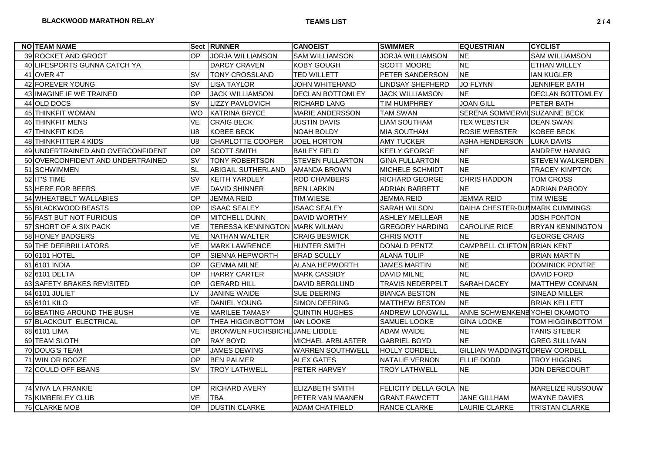| <b>NO TEAM NAME</b>               |                | Sect RUNNER                           | <b>CANOEIST</b>         | <b>SWIMMER</b>          | <b>EQUESTRIAN</b>               | <b>CYCLIST</b>          |
|-----------------------------------|----------------|---------------------------------------|-------------------------|-------------------------|---------------------------------|-------------------------|
| 39 ROCKET AND GROOT               | OP             | <b>JORJA WILLIAMSON</b>               | <b>SAM WILLIAMSON</b>   | <b>JORJA WILLIAMSON</b> | <b>NE</b>                       | SAM WILLIAMSON          |
| 40 LIFESPORTS GUNNA CATCH YA      |                | <b>DARCY CRAVEN</b>                   | KOBY GOUGH              | <b>SCOTT MOORE</b>      | <b>NE</b>                       | <b>ETHAN WILLEY</b>     |
| 41 OVER 4T                        | <b>SV</b>      | <b>TONY CROSSLAND</b>                 | <b>TED WILLETT</b>      | PETER SANDERSON         | <b>NE</b>                       | <b>IAN KUGLER</b>       |
| 42 FOREVER YOUNG                  | <b>SV</b>      | <b>LISA TAYLOR</b>                    | <b>JOHN WHITEHAND</b>   | <b>LINDSAY SHEPHERD</b> | <b>JO FLYNN</b>                 | <b>JENNIFER BATH</b>    |
| 43 IMAGINE IF WE TRAINED          | OP             | <b>JACK WILLIAMSON</b>                | DECLAN BOTTOMLEY        | <b>JACK WILLIAMSON</b>  | <b>NE</b>                       | DECLAN BOTTOMLEY        |
| 44 OLD DOCS                       | <b>SV</b>      | <b>LIZZY PAVLOVICH</b>                | <b>RICHARD LANG</b>     | <b>TIM HUMPHREY</b>     | <b>JOAN GILL</b>                | PETER BATH              |
| 45 THINKFIT WOMAN                 | <b>WO</b>      | <b>KATRINA BRYCE</b>                  | MARIE ANDERSSON         | <b>TAM SWAN</b>         | SERENA SOMMERVIL SUZANNE BECK   |                         |
| 46 THINKFIT MENS                  | VE             | <b>CRAIG BECK</b>                     | <b>JUSTIN DAVIS</b>     | <b>LIAM SOUTHAM</b>     | <b>TEX WEBSTER</b>              | <b>DEAN SWAN</b>        |
| 47 THINKFIT KIDS                  | U <sub>8</sub> | KOBEE BECK                            | NOAH BOLDY              | <b>MIA SOUTHAM</b>      | <b>ROSIE WEBSTER</b>            | <b>KOBEE BECK</b>       |
| 48 THINKFITTER 4 KIDS             | U8             | CHARLOTTE COOPER                      | JOEL HORTON             | <b>AMY TUCKER</b>       | ASHA HENDERSON                  | <b>LUKA DAVIS</b>       |
| 49 UNDERTRAINED AND OVERCONFIDENT | OP             | <b>SCOTT SMITH</b>                    | <b>BAILEY FIELD</b>     | <b>KEELY GEORGE</b>     | <b>NE</b>                       | <b>ANDREW HANNIG</b>    |
| 50 OVERCONFIDENT AND UNDERTRAINED | <b>SV</b>      | <b>TONY ROBERTSON</b>                 | <b>STEVEN FULLARTON</b> | <b>GINA FULLARTON</b>   | <b>NE</b>                       | STEVEN WALKERDEN        |
| 51 SCHWIMMEN                      | <b>SL</b>      | <b>ABIGAIL SUTHERLAND</b>             | <b>AMANDA BROWN</b>     | MICHELE SCHMIDT         | <b>NE</b>                       | <b>TRACEY KIMPTON</b>   |
| 52 IT'S TIME                      | <b>SV</b>      | <b>KEITH YARDLEY</b>                  | <b>ROD CHAMBERS</b>     | <b>RICHARD GEORGE</b>   | <b>CHRIS HADDON</b>             | TOM CROSS               |
| 53 HERE FOR BEERS                 | <b>VE</b>      | <b>DAVID SHINNER</b>                  | <b>BEN LARKIN</b>       | <b>ADRIAN BARRETT</b>   | <b>NE</b>                       | <b>ADRIAN PARODY</b>    |
| 54 WHEATBELT WALLABIES            | OP             | <b>JEMMA REID</b>                     | <b>TIM WIESE</b>        | <b>JEMMA REID</b>       | <b>JEMMA REID</b>               | <b>TIM WIESE</b>        |
| 55 BLACKWOOD BEASTS               | OP             | <b>ISAAC SEALEY</b>                   | <b>ISAAC SEALEY</b>     | SARAH WILSON            | DAIHA CHESTER-DUI MARK CUMMINGS |                         |
| 56 FAST BUT NOT FURIOUS           | OP             | MITCHELL DUNN                         | <b>DAVID WORTHY</b>     | <b>ASHLEY MEILLEAR</b>  | <b>NE</b>                       | <b>JOSH PONTON</b>      |
| 57 SHORT OF A SIX PACK            | <b>VE</b>      | <b>TERESSA KENNINGTON MARK WILMAN</b> |                         | <b>GREGORY HARDING</b>  | <b>CAROLINE RICE</b>            | <b>BRYAN KENNINGTON</b> |
| 58 HONEY BADGERS                  | <b>VE</b>      | <b>NATHAN WALTER</b>                  | <b>CRAIG BESWICK</b>    | <b>CHRIS MOTT</b>       | <b>NE</b>                       | <b>GEORGE CRAIG</b>     |
| 59 THE DEFIBRILLATORS             | <b>VE</b>      | <b>MARK LAWRENCE</b>                  | <b>HUNTER SMITH</b>     | DONALD PENTZ            | CAMPBELL CLIFTON BRIAN KENT     |                         |
| 60 6101 HOTEL                     | OP             | <b>SIENNA HEPWORTH</b>                | <b>BRAD SCULLY</b>      | <b>ALANA TULIP</b>      | <b>NE</b>                       | <b>BRIAN MARTIN</b>     |
| 61 6101 INDIA                     | OP             | <b>GEMMA MILNE</b>                    | <b>ALANA HEPWORTH</b>   | <b>JAMES MARTIN</b>     | <b>NE</b>                       | <b>DOMINICK PONTRE</b>  |
| 62 6101 DELTA                     | OP             | <b>HARRY CARTER</b>                   | <b>MARK CASSIDY</b>     | <b>DAVID MILNE</b>      | <b>NE</b>                       | <b>DAVID FORD</b>       |
| 63 SAFETY BRAKES REVISITED        | OP             | <b>GERARD HILL</b>                    | <b>DAVID BERGLUND</b>   | <b>TRAVIS NEDERPELT</b> | <b>SARAH DACEY</b>              | <b>MATTHEW CONNAN</b>   |
| 64 6101 JULIET                    | LV             | JANINE WAIDE                          | <b>SUE DEERING</b>      | <b>BIANCA BESTON</b>    | <b>NE</b>                       | SINEAD MILLER           |
| 65 6101 KILO                      | <b>VE</b>      | DANIEL YOUNG                          | SIMON DEERING           | <b>MATTHEW BESTON</b>   | <b>NE</b>                       | <b>BRIAN KELLETT</b>    |
| 66 BEATING AROUND THE BUSH        | <b>VE</b>      | <b>MARILEE TAMASY</b>                 | <b>QUINTIN HUGHES</b>   | <b>ANDREW LONGWILL</b>  | ANNE SCHWENKENB YOHEI OKAMOTO   |                         |
| 67 BLACKOUT ELECTRICAL            | OP             | <b>THEA HIGGINBOTTOM</b>              | <b>IAN LOOKE</b>        | <b>SAMUEL LOOKE</b>     | <b>GINA LOOKE</b>               | TOM HIGGINBOTTOM        |
| 68 6101 LIMA                      | <b>VE</b>      | <b>BRONWEN FUCHSBICHL JANE LIDDLE</b> |                         | <b>ADAM WAIDE</b>       | <b>NE</b>                       | <b>TANIS STEBER</b>     |
| 69 TEAM SLOTH                     | OP             | <b>RAY BOYD</b>                       | MICHAEL ARBLASTER       | <b>GABRIEL BOYD</b>     | <b>NE</b>                       | <b>GREG SULLIVAN</b>    |
| 70 DOUG'S TEAM                    | OP             | <b>JAMES DEWING</b>                   | <b>WARREN SOUTHWELL</b> | <b>HOLLY CORDELL</b>    | GILLIAN WADDINGTODREW CORDELL   |                         |
| 71 WIN OR BOOZE                   | OP             | <b>BEN PALMER</b>                     | <b>ALEX GATES</b>       | NATALIE VERNON          | <b>ELLIE DODD</b>               | <b>TROY HIGGINS</b>     |
| 72 COULD OFF BEANS                | <b>SV</b>      | <b>TROY LATHWELL</b>                  | PETER HARVEY            | <b>TROY LATHWELL</b>    | <b>NE</b>                       | <b>JON DERECOURT</b>    |
|                                   |                |                                       |                         |                         |                                 |                         |
| 74 VIVA LA FRANKIE                | OP             | <b>RICHARD AVERY</b>                  | <b>ELIZABETH SMITH</b>  | FELICITY DELLA GOLA NE  |                                 | MARELIZE RUSSOUW        |
| 75 KIMBERLEY CLUB                 | <b>VE</b>      | <b>TBA</b>                            | PETER VAN MAANEN        | <b>GRANT FAWCETT</b>    | <b>JANE GILLHAM</b>             | <b>WAYNE DAVIES</b>     |
| 76 CLARKE MOB                     | <b>OP</b>      | <b>DUSTIN CLARKE</b>                  | <b>ADAM CHATFIELD</b>   | RANCE CLARKE            | <b>LAURIE CLARKE</b>            | <b>TRISTAN CLARKE</b>   |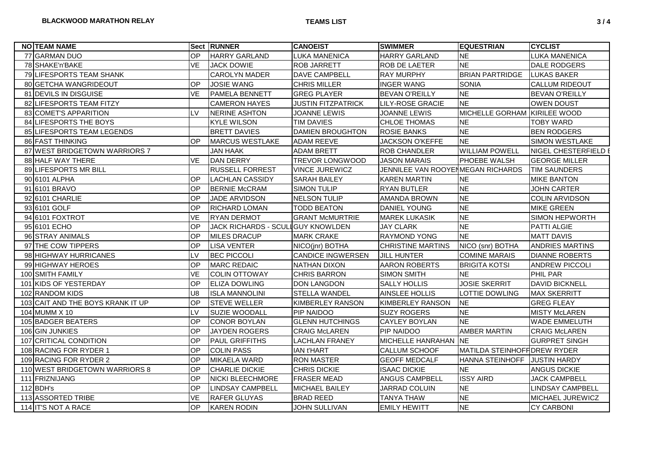| <b>NO TEAM NAME</b>               |                | <b>Sect RUNNER</b>          | <b>CANOEIST</b>           | <b>SWIMMER</b>                    | <b>EQUESTRIAN</b>             | <b>CYCLIST</b>          |
|-----------------------------------|----------------|-----------------------------|---------------------------|-----------------------------------|-------------------------------|-------------------------|
| 77 GARMAN DUO                     | <b>OP</b>      | <b>HARRY GARLAND</b>        | LUKA MANENICA             | <b>HARRY GARLAND</b>              | <b>NE</b>                     | <b>LUKA MANENICA</b>    |
| 78 SHAKE'n'BAKE                   | <b>VE</b>      | <b>JACK DOWIE</b>           | <b>ROB JARRETT</b>        | <b>ROB DE LAETER</b>              | <b>NE</b>                     | DALE RODGERS            |
| 79 LIFESPORTS TEAM SHANK          |                | <b>CAROLYN MADER</b>        | DAVE CAMPBELL             | <b>RAY MURPHY</b>                 | BRIAN PARTRIDGE   LUKAS BAKER |                         |
| 80 GETCHA WANGRIDEOUT             | <b>OP</b>      | <b>JOSIE WANG</b>           | <b>CHRIS MILLER</b>       | <b>INGER WANG</b>                 | <b>SONIA</b>                  | <b>CALLUM RIDEOUT</b>   |
| 81 DEVILS IN DISGUISE             | <b>VE</b>      | PAMELA BENNETT              | <b>GREG PLAYER</b>        | <b>BEVAN O'REILLY</b>             | <b>NE</b>                     | <b>BEVAN O'REILLY</b>   |
| 82 LIFESPORTS TEAM FITZY          |                | <b>CAMERON HAYES</b>        | <b>JUSTIN FITZPATRICK</b> | <b>LILY-ROSE GRACIE</b>           | <b>NE</b>                     | <b>OWEN DOUST</b>       |
| 83 COMET'S APPARITION             | IV.            | NERINE ASHTON               | JOANNE LEWIS              | JOANNE LEWIS                      | MICHELLE GORHAM KIRILEE WOOD  |                         |
| 84 LIFESPORTS THE BOYS            |                | <b>KYLE WILSON</b>          | <b>TIM DAVIES</b>         | <b>CHLOE THOMAS</b>               | <b>NE</b>                     | <b>TOBY WARD</b>        |
| 85 LIFESPORTS TEAM LEGENDS        |                | <b>BRETT DAVIES</b>         | <b>DAMIEN BROUGHTON</b>   | <b>ROSIE BANKS</b>                | <b>NE</b>                     | <b>BEN RODGERS</b>      |
| 86 FAST THINKING                  | OP.            | <b>MARCUS WESTLAKE</b>      | <b>ADAM REEVE</b>         | <b>JACKSON O'KEFFE</b>            | <b>NE</b>                     | <b>SIMON WESTLAKE</b>   |
| 87 WEST BRIDGETOWN WARRIORS 7     |                | <b>JAN HAAK</b>             | <b>ADAM BRETT</b>         | <b>ROB CHANDLER</b>               | <b>WILLIAM POWELL</b>         | NIGEL CHESTERFIELD E    |
| 88 HALF WAY THERE                 | <b>VE</b>      | DAN DERRY                   | <b>TREVOR LONGWOOD</b>    | <b>JASON MARAIS</b>               | <b>PHOEBE WALSH</b>           | <b>GEORGE MILLER</b>    |
| 89 LIFESPORTS MR BILL             |                | <b>RUSSELL FORREST</b>      | <b>VINCE JUREWICZ</b>     | JENNILEE VAN ROOYENMEGAN RICHARDS |                               | <b>TIM SAUNDERS</b>     |
| 90 6101 ALPHA                     | OP             | <b>LACHLAN CASSIDY</b>      | <b>SARAH BAILEY</b>       | <b>KAREN MARTIN</b>               | <b>NE</b>                     | <b>MIKE BANTON</b>      |
| 91 6101 BRAVO                     | <b>OP</b>      | <b>BERNIE McCRAM</b>        | <b>SIMON TULIP</b>        | <b>RYAN BUTLER</b>                | <b>NE</b>                     | <b>JOHN CARTER</b>      |
| 92 6101 CHARLIE                   | <b>OP</b>      | JADE ARVIDSON               | <b>NELSON TULIP</b>       | AMANDA BROWN                      | <b>NE</b>                     | <b>COLIN ARVIDSON</b>   |
| 93 6101 GOLF                      | <b>OP</b>      | <b>RICHARD LOMAN</b>        | <b>TODD BEATON</b>        | <b>DANIEL YOUNG</b>               | <b>NE</b>                     | <b>MIKE GREEN</b>       |
| 94 6101 FOXTROT                   | <b>VE</b>      | <b>RYAN DERMOT</b>          | <b>GRANT McMURTRIE</b>    | <b>MAREK LUKASIK</b>              | <b>NE</b>                     | <b>SIMON HEPWORTH</b>   |
| 95 6101 ECHO                      | <b>OP</b>      | <b>JACK RICHARDS - SCUL</b> | <b>I</b> GUY KNOWLDEN     | <b>JAY CLARK</b>                  | <b>NE</b>                     | PATTI ALGIE             |
| 96 STRAY ANIMALS                  | OP             | <b>MILES DRACUP</b>         | <b>MARK CRAKE</b>         | RAYMOND YONG                      | <b>NE</b>                     | <b>MATT DAVIS</b>       |
| 97 THE COW TIPPERS                | <b>OP</b>      | <b>LISA VENTER</b>          | NICO(jnr) BOTHA           | <b>CHRISTINE MARTINS</b>          | NICO (snr) BOTHA              | <b>ANDRIES MARTINS</b>  |
| 98 HIGHWAY HURRICANES             | LV             | <b>BEC PICCOLI</b>          | <b>CANDICE INGWERSEN</b>  | <b>JILL HUNTER</b>                | <b>COMINE MARAIS</b>          | <b>DIANNE ROBERTS</b>   |
| 99 HIGHWAY HEROES                 | <b>OP</b>      | <b>MARC REDAIC</b>          | <b>NATHAN DIXON</b>       | <b>AARON ROBERTS</b>              | <b>BRIGITA KOTSI</b>          | <b>ANDREW PICCOLI</b>   |
| 100 SMITH FAMILY                  | <b>VE</b>      | <b>COLIN OTTOWAY</b>        | <b>CHRIS BARRON</b>       | <b>SIMON SMITH</b>                | <b>NE</b>                     | PHIL PAR                |
| 101 KIDS OF YESTERDAY             | OP             | <b>ELIZA DOWLING</b>        | <b>DON LANGDON</b>        | <b>SALLY HOLLIS</b>               | <b>JOSIE SKERRIT</b>          | <b>DAVID BICKNELL</b>   |
| 102 RANDOM KIDS                   | U <sub>8</sub> | <b>ISLA MANNOLINI</b>       | <b>STELLA WANDEL</b>      | AINSLEE HOLLIS                    | <b>LOTTIE DOWLING</b>         | <b>MAX SKERRITT</b>     |
| 103 CAIT AND THE BOYS KRANK IT UP | <b>OP</b>      | <b>STEVE WELLER</b>         | <b>KIMBERLEY RANSON</b>   | <b>KIMBERLEY RANSON</b>           | <b>NE</b>                     | <b>GREG FLEAY</b>       |
| 104 MUMM X 10                     | LV             | SUZIE WOODALL               | PIP NAIDOO                | <b>SUZY ROGERS</b>                | <b>NE</b>                     | <b>MISTY McLAREN</b>    |
| 105 BADGER BEATERS                | OP             | <b>CONOR BOYLAN</b>         | <b>GLENN HUTCHINGS</b>    | <b>CAYLEY BOYLAN</b>              | <b>NE</b>                     | <b>WADE EMMELUTH</b>    |
| 106 GIN JUNKIES                   | <b>OP</b>      | <b>JAYDEN ROGERS</b>        | <b>CRAIG McLAREN</b>      | PIP NAIDOO                        | <b>AMBER MARTIN</b>           | <b>CRAIG McLAREN</b>    |
| 107 CRITICAL CONDITION            | OP             | PAUL GRIFFITHS              | <b>LACHLAN FRANEY</b>     | MICHELLE HANRAHAN NE              |                               | <b>GURPRET SINGH</b>    |
| 108 RACING FOR RYDER 1            | OP             | <b>COLIN PASS</b>           | <b>IAN t'HART</b>         | <b>CALLUM SCHOOF</b>              | MATILDA STEINHOFF DREW RYDER  |                         |
| 109 RACING FOR RYDER 2            | OP             | <b>MIKAELA WARD</b>         | <b>RON MASTER</b>         | <b>GEOFF MEDCALF</b>              | HANNA STEINHOFF JUSTIN HARDY  |                         |
| 110 WEST BRIDGETOWN WARRIORS 8    | <b>OP</b>      | <b>CHARLIE DICKIE</b>       | CHRIS DICKIE              | <b>ISAAC DICKIE</b>               | <b>NE</b>                     | <b>ANGUS DICKIE</b>     |
| 111 FRIZNIJANG                    | <b>OP</b>      | <b>NICKI BLEECHMORE</b>     | <b>FRASER MEAD</b>        | ANGUS CAMPBELL                    | <b>ISSY AIRD</b>              | <b>JACK CAMPBELL</b>    |
| $112$ BDH's                       | <b>OP</b>      | <b>LINDSAY CAMPBELL</b>     | <b>MICHAEL BAILEY</b>     | JARRAD COLUIN                     | <b>NE</b>                     | <b>LINDSAY CAMPBELL</b> |
| 113 ASSORTED TRIBE                | <b>VE</b>      | <b>RAFER GLUYAS</b>         | <b>BRAD REED</b>          | <b>TANYA THAW</b>                 | <b>NE</b>                     | <b>MICHAEL JUREWICZ</b> |
| 114 IT'S NOT A RACE               | OP             | <b>KAREN RODIN</b>          | <b>JOHN SULLIVAN</b>      | <b>EMILY HEWITT</b>               | <b>NE</b>                     | <b>CY CARBONI</b>       |